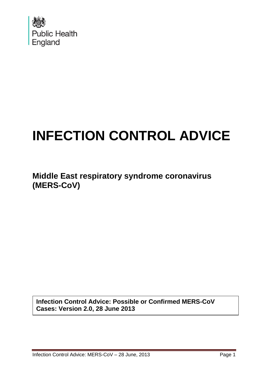

# **INFECTION CONTROL ADVICE**

**Middle East respiratory syndrome coronavirus (MERS-CoV)**

**Infection Control Advice: Possible or Confirmed MERS-CoV Cases: Version 2.0, 28 June 2013**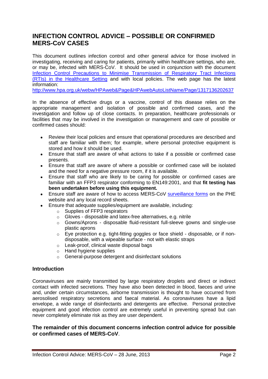# **INFECTION CONTROL ADVICE – POSSIBLE OR CONFIRMED MERS-CoV CASES**

This document outlines infection control and other general advice for those involved in investigating, receiving and caring for patients, primarily within healthcare settings, who are, or may be, infected with MERS-CoV. It should be used in conjunction with the document [Infection Control Precautions to Minimise Transmission of Respiratory Tract Infections](http://www.hpa.org.uk/webc/HPAwebFile/HPAweb_C/1317131892566)  [\(RTIs\) in the Healthcare Setting](http://www.hpa.org.uk/webc/HPAwebFile/HPAweb_C/1317131892566) and with local policies. The web page has the latest information:

<http://www.hpa.org.uk/webw/HPAweb&Page&HPAwebAutoListName/Page/1317136202637>

In the absence of effective drugs or a vaccine, control of this disease relies on the appropriate management and isolation of possible and confirmed cases, and the investigation and follow up of close contacts. In preparation, healthcare professionals or facilities that may be involved in the investigation or management and care of possible or confirmed cases should:

- $\bullet$ Review their local policies and ensure that operational procedures are described and staff are familiar with them; for example, where personal protective equipment is stored and how it should be used.
- Ensure that staff are aware of what actions to take if a possible or confirmed case presents.
- Ensure that staff are aware of where a possible or confirmed case will be isolated and the need for a negative pressure room, if it is available.
- Ensure that staff who are likely to be caring for possible or confirmed cases are  $\bullet$ familiar with an FFP3 respirator conforming to EN149:2001, and that **fit testing has been undertaken before using this equipment.**
- Ensure staff are aware of how to access MERS-CoV [surveillance](http://www.hpa.org.uk/webc/HPAwebFile/HPAweb_C/1317136300809) forms on the PHE website and any local record sheets.
- Ensure that adequate supplies/equipment are available, including:  $\bullet$ 
	- o Supplies of FFP3 respirators
	- o Gloves disposable and latex-free alternatives, e.g. nitrile
	- o Gowns/Aprons disposable fluid-resistant full-sleeve gowns and single-use plastic aprons
	- o Eye protection e.g. tight-fitting goggles or face shield disposable, or if nondisposable, with a wipeable surface - not with elastic straps
	- o Leak-proof, clinical waste disposal bags
	- o Hand hygiene supplies
	- o General-purpose detergent and disinfectant solutions

#### **Introduction**

Coronaviruses are mainly transmitted by large respiratory droplets and direct or indirect contact with infected secretions. They have also been detected in blood, faeces and urine and, under certain circumstances, airborne transmission is thought to have occurred from aerosolised respiratory secretions and faecal material. As coronaviruses have a lipid envelope, a wide range of disinfectants and detergents are effective. Personal protective equipment and good infection control are extremely useful in preventing spread but can never completely eliminate risk as they are user dependent.

#### **The remainder of this document concerns infection control advice for possible or confirmed cases of MERS-CoV**.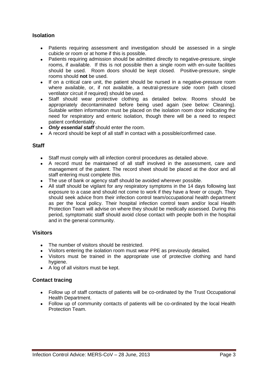# **Isolation**

- Patients requiring assessment and investigation should be assessed in a single cubicle or room or at home if this is possible.
- Patients requiring admission should be admitted directly to negative-pressure, single  $\bullet$ rooms, if available. If this is not possible then a single room with en-suite facilities should be used. Room doors should be kept closed. Positive-pressure, single rooms should **not** be used.
- If on a critical care unit, the patient should be nursed in a negative-pressure room  $\bullet$ where available, or, if not available, a neutral-pressure side room (with closed ventilator circuit if required) should be used.
- $\bullet$ Staff should wear protective clothing as detailed below. Rooms should be appropriately decontaminated before being used again (see below: Cleaning). Suitable written information must be placed on the isolation room door indicating the need for respiratory and enteric isolation, though there will be a need to respect patient confidentiality.
- *Only essential staff* should enter the room.
- A record should be kept of all staff in contact with a possible/confirmed case.

#### **Staff**

- Staff must comply with all infection control procedures as detailed above.
- A record must be maintained of all staff involved in the assessment, care and management of the patient. The record sheet should be placed at the door and all staff entering must complete this.
- The use of bank or agency staff should be avoided wherever possible.
- $\bullet$ All staff should be vigilant for any respiratory symptoms in the 14 days following last exposure to a case and should not come to work if they have a fever or cough. They should seek advice from their infection control team/occupational health department as per the local policy. Their hospital infection control team and/or local Health Protection Team will advise on where they should be medically assessed. During this period, symptomatic staff should avoid close contact with people both in the hospital and in the general community.

#### **Visitors**

- The number of visitors should be restricted.
- Visitors entering the isolation room must wear PPE as previously detailed.
- Visitors must be trained in the appropriate use of protective clothing and hand hygiene.
- A log of all visitors must be kept.

#### **Contact tracing**

- $\bullet$ Follow up of staff contacts of patients will be co-ordinated by the Trust Occupational Health Department.
- Follow up of community contacts of patients will be co-ordinated by the local Health Protection Team.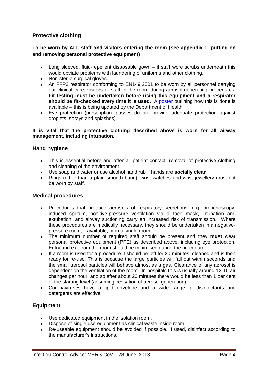# **Protective clothing**

### **To be worn by ALL staff and visitors entering the room (see appendix 1: putting on and removing personal protective equipment)**

- Long sleeved, fluid-repellent disposable gown if staff wore scrubs underneath this would obviate problems with laundering of uniforms and other clothing.
- Non-sterile surgical gloves.
- An FFP3 respirator conforming to EN149:2001 to be worn by all personnel carrying out clinical care, visitors or staff in the room during aerosol-generating procedures. **Fit testing must be undertaken before using this equipment and a respirator should be fit-checked every time it is used.** A [poster](http://webarchive.nationalarchives.gov.uk/20130107105354/http:/www.dh.gov.uk/prod_consum_dh/groups/dh_digitalassets/@dh/@en/@ps/documents/digitalasset/dh_110787.pdf) outlining how this is done is available – this is being updated by the Department of Health.
- $\bullet$ Eye protection (prescription glasses do not provide adequate protection against droplets, sprays and splashes).

#### **It is vital that the protective clothing described above is worn for all airway management, including intubation.**

#### **Hand hygiene**

- This is essential before and after all patient contact, removal of protective clothing and cleaning of the environment.
- Use soap and water or use alcohol hand rub if hands are **socially clean**
- Rings (other than a plain smooth band), wrist watches and wrist jewellery must not be worn by staff.

#### **Medical procedures**

- Procedures that produce aerosols of respiratory secretions, e.g. bronchoscopy, induced sputum, positive-pressure ventilation via a face mask, intubation and extubation, and airway suctioning carry an increased risk of transmission. Where these procedures are medically necessary, they should be undertaken in a negativepressure room, if available, or in a single room.
- The minimum number of required staff should be present and they **must** wear personal protective equipment (PPE) as described above, including eye protection. Entry and exit from the room should be minimised during the procedure.
- If a room is used for a procedure it should be left for 20 minutes, cleaned and is then  $\bullet$ ready for re-use. This is because the large particles will fall out within seconds and the small aerosol particles will behave almost as a gas. Clearance of any aerosol is dependent on the ventilation of the room. In hospitals this is usually around 12-15 air changes per hour, and so after about 20 minutes there would be less than 1 per cent of the starting level (assuming cessation of aerosol generation).
- Coronaviruses have a lipid envelope and a wide range of disinfectants and detergents are effective.

# **Equipment**

- Use dedicated equipment in the isolation room.
- Dispose of single use equipment as clinical waste inside room.
- Re-useable equipment should be avoided if possible. If used, disinfect according to the manufacturer's instructions.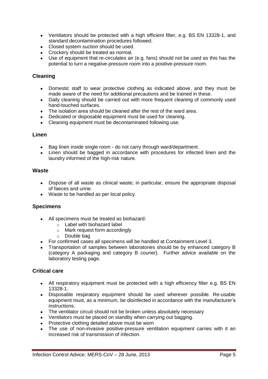- Ventilators should be protected with a high efficient filter, e.g. BS EN 13328-1, and standard decontamination procedures followed.
- Closed system suction should be used.
- Crockery should be treated as normal.
- $\bullet$ Use of equipment that re-circulates air (e.g. fans) should not be used as this has the potential to turn a negative-pressure room into a positive-pressure room.

### **Cleaning**

- Domestic staff to wear protective clothing as indicated above, and they must be  $\bullet$ made aware of the need for additional precautions and be trained in these.
- Daily cleaning should be carried out with more frequent cleaning of commonly used  $\bullet$ hand-touched surfaces.
- The isolation area should be cleaned after the rest of the ward area.
- Dedicated or disposable equipment must be used for cleaning.
- Cleaning equipment must be decontaminated following use.  $\bullet$

#### **Linen**

- Bag linen inside single room do not carry through ward/department.
- Linen should be bagged in accordance with procedures for infected linen and the laundry informed of the high-risk nature.

#### **Waste**

- Dispose of all waste as clinical waste; in particular, ensure the appropriate disposal of faeces and urine.
- Waste to be handled as per local policy.

#### **Specimens**

- All specimens must be treated as biohazard:
	- o Label with biohazard label
	- o Mark request form accordingly
	- o Double bag
- For confirmed cases all specimens will be handled at Containment Level 3.
- Transportation of samples between laboratories should be by enhanced category B (category A packaging and category B courier). Further advice available on the laboratory testing page.

#### **Critical care**

- All respiratory equipment must be protected with a high efficiency filter e.g. BS EN 13328-1.
- $\bullet$ Disposable respiratory equipment should be used wherever possible. Re-usable equipment must, as a minimum, be disinfected in accordance with the manufacturer's instructions.
- The ventilator circuit should not be broken unless absolutely necessary
- Ventilators must be placed on standby when carrying out bagging.
- Protective clothing detailed above must be worn
- The use of non-invasive positive-pressure ventilation equipment carries with it an increased risk of transmission of infection.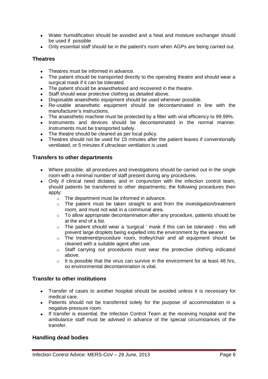- Water humidification should be avoided and a heat and moisture exchanger should be used if possible
- Only essential staff should be in the patient's room when AGPs are being carried out.

#### **Theatres**

- Theatres must be informed in advance.
- The patient should be transported directly to the operating theatre and should wear a surgical mask if it can be tolerated.
- $\bullet$ The patient should be anaesthetised and recovered in the theatre.
- Staff should wear protective clothing as detailed above.  $\bullet$
- Disposable anaesthetic equipment should be used wherever possible.
- $\bullet$ Re-usable anaesthetic equipment should be decontaminated in line with the manufacturer's instructions.
- The anaesthetic machine must be protected by a filter with viral efficiency to 99.99%.  $\bullet$
- Instruments and devices should be decontaminated in the normal manner. Instruments must be transported safely.
- The theatre should be cleaned as per local policy.
- Theatres should not be used for 15 minutes after the patient leaves if conventionally ventilated, or 5 minutes if ultraclean ventilation is used.

#### **Transfers to other departments**

- Where possible, all procedures and investigations should be carried out in the single room with a minimal number of staff present during any procedures.
- $\bullet$ Only if clinical need dictates, and in conjunction with the infection control team, should patients be transferred to other departments; the following procedures then apply:
	- o The department must be informed in advance.
	- o The patient must be taken straight to and from the investigation/treatment room, and must not wait in a communal area.
	- o To allow appropriate decontamination after any procedure, patients should be at the end of a list.
	- o The patient should wear a 'surgical ' mask if this can be tolerated this will prevent large droplets being expelled into the environment by the wearer.
	- o The treatment/procedure room, trolley/chair and all equipment should be cleaned with a suitable agent after use.
	- o Staff carrying out procedures must wear the protective clothing indicated above.
	- $\circ$  It is possible that the virus can survive in the environment for at least 48 hrs, so environmental decontamination is vital.

# **Transfer to other institutions**

- Transfer of cases to another hospital should be avoided unless it is necessary for medical care.
- Patients should not be transferred solely for the purpose of accommodation in a negative-pressure room.
- If transfer is essential, the Infection Control Team at the receiving hospital and the  $\bullet$ ambulance staff must be advised in advance of the special circumstances of the transfer.

# **Handling dead bodies**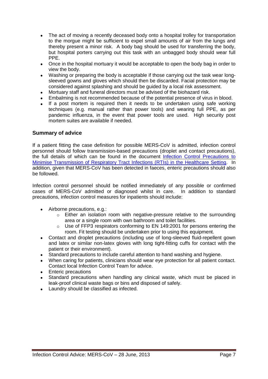- The act of moving a recently deceased body onto a hospital trolley for transportation  $\bullet$ to the morgue might be sufficient to expel small amounts of air from the lungs and thereby present a minor risk. A body bag should be used for transferring the body, but hospital porters carrying out this task with an unbagged body should wear full PPE.
- $\bullet$ Once in the hospital mortuary it would be acceptable to open the body bag in order to view the body.
- Washing or preparing the body is acceptable if those carrying out the task wear long- $\bullet$ sleeved gowns and gloves which should then be discarded. Facial protection may be considered against splashing and should be guided by a local risk assessment.
- Mortuary staff and funeral directors must be advised of the biohazard risk.
- Embalming is not recommended because of the potential presence of virus in blood.
- If a post mortem is required then it needs to be undertaken using safe working  $\bullet$ techniques (e.g. manual rather than power tools) and wearing full PPE, as per pandemic influenza, in the event that power tools are used. High security post mortem suites are available if needed.

#### **Summary of advice**

If a patient fitting the case definition for possible MERS-CoV is admitted, infection control personnel should follow transmission-based precautions (droplet and contact precautions), the full details of which can be found in the document [Infection Control Precautions to](http://www.hpa.org.uk/webc/HPAwebFile/HPAweb_C/1317131892566)  [Minimise Transmission of Respiratory Tract Infections \(RTIs\) in the Healthcare Setting.](http://www.hpa.org.uk/webc/HPAwebFile/HPAweb_C/1317131892566) In addition, given that MERS-CoV has been detected in faeces, enteric precautions should also be followed.

Infection control personnel should be notified immediately of any possible or confirmed cases of MERS-CoV admitted or diagnosed whilst in care. In addition to standard precautions, infection control measures for inpatients should include:

- Airborne precautions, e.g.:
	- $\circ$  Either an isolation room with negative-pressure relative to the surrounding area or a single room with own bathroom and toilet facilities.
	- $\circ$  Use of FFP3 respirators conforming to EN 149:2001 for persons entering the room. Fit testing should be undertaken prior to using this equipment.
- Contact and droplet precautions (including use of long-sleeved fluid-repellent gown  $\bullet$ and latex or similar non-latex gloves with long tight-fitting cuffs for contact with the patient or their environment).
- Standard precautions to include careful attention to hand washing and hygiene.
- When caring for patients, clinicians should wear eye protection for all patient contact.  $\bullet$ Contact local Infection Control Team for advice.
- Enteric precautions  $\bullet$
- Standard precautions when handling any clinical waste, which must be placed in  $\bullet$ leak-proof clinical waste bags or bins and disposed of safely.
- Laundry should be classified as infected.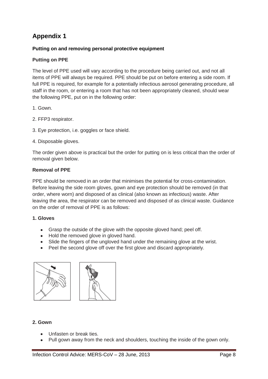# **Appendix 1**

# **Putting on and removing personal protective equipment**

# **Putting on PPE**

The level of PPE used will vary according to the procedure being carried out, and not all items of PPE will always be required. PPE should be put on before entering a side room. If full PPE is required, for example for a potentially infectious aerosol generating procedure, all staff in the room, or entering a room that has not been appropriately cleaned, should wear the following PPE, put on in the following order:

- 1. Gown.
- 2. FFP3 respirator.
- 3. Eye protection, i.e. goggles or face shield.
- 4. Disposable gloves.

The order given above is practical but the order for putting on is less critical than the order of removal given below.

#### **Removal of PPE**

PPE should be removed in an order that minimises the potential for cross-contamination. Before leaving the side room gloves, gown and eye protection should be removed (in that order, where worn) and disposed of as clinical (also known as infectious) waste. After leaving the area, the respirator can be removed and disposed of as clinical waste. Guidance on the order of removal of PPE is as follows:

#### **1. Gloves**

- Grasp the outside of the glove with the opposite gloved hand; peel off.
- Hold the removed glove in gloved hand.
- Slide the fingers of the ungloved hand under the remaining glove at the wrist.
- Peel the second glove off over the first glove and discard appropriately.



#### **2. Gown**

- Unfasten or break ties.
- Pull gown away from the neck and shoulders, touching the inside of the gown only.